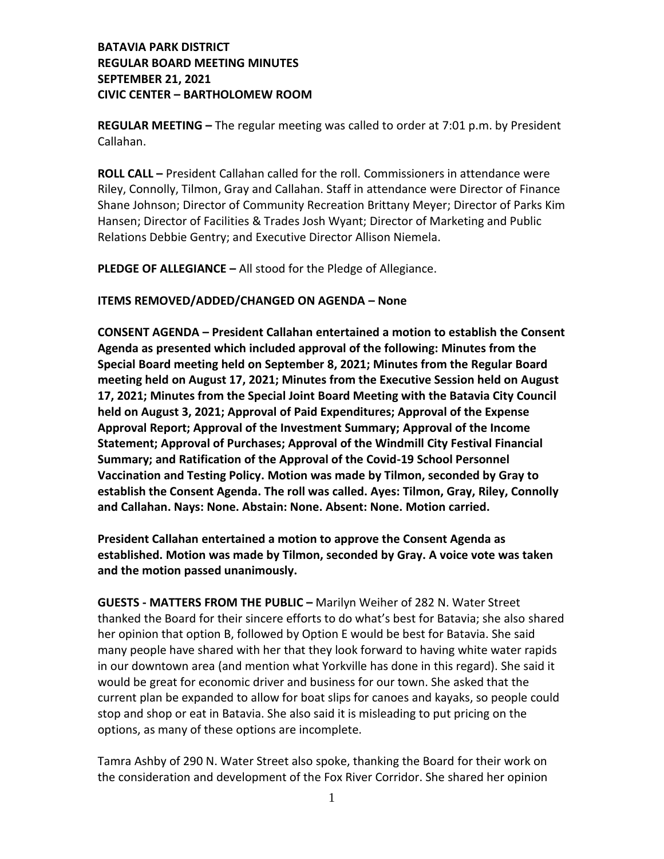**REGULAR MEETING –** The regular meeting was called to order at 7:01 p.m. by President Callahan.

**ROLL CALL –** President Callahan called for the roll. Commissioners in attendance were Riley, Connolly, Tilmon, Gray and Callahan. Staff in attendance were Director of Finance Shane Johnson; Director of Community Recreation Brittany Meyer; Director of Parks Kim Hansen; Director of Facilities & Trades Josh Wyant; Director of Marketing and Public Relations Debbie Gentry; and Executive Director Allison Niemela.

**PLEDGE OF ALLEGIANCE –** All stood for the Pledge of Allegiance.

### **ITEMS REMOVED/ADDED/CHANGED ON AGENDA – None**

**CONSENT AGENDA – President Callahan entertained a motion to establish the Consent Agenda as presented which included approval of the following: Minutes from the Special Board meeting held on September 8, 2021; Minutes from the Regular Board meeting held on August 17, 2021; Minutes from the Executive Session held on August 17, 2021; Minutes from the Special Joint Board Meeting with the Batavia City Council held on August 3, 2021; Approval of Paid Expenditures; Approval of the Expense Approval Report; Approval of the Investment Summary; Approval of the Income Statement; Approval of Purchases; Approval of the Windmill City Festival Financial Summary; and Ratification of the Approval of the Covid-19 School Personnel Vaccination and Testing Policy. Motion was made by Tilmon, seconded by Gray to establish the Consent Agenda. The roll was called. Ayes: Tilmon, Gray, Riley, Connolly and Callahan. Nays: None. Abstain: None. Absent: None. Motion carried.**

**President Callahan entertained a motion to approve the Consent Agenda as established. Motion was made by Tilmon, seconded by Gray. A voice vote was taken and the motion passed unanimously.**

**GUESTS - MATTERS FROM THE PUBLIC –** Marilyn Weiher of 282 N. Water Street thanked the Board for their sincere efforts to do what's best for Batavia; she also shared her opinion that option B, followed by Option E would be best for Batavia. She said many people have shared with her that they look forward to having white water rapids in our downtown area (and mention what Yorkville has done in this regard). She said it would be great for economic driver and business for our town. She asked that the current plan be expanded to allow for boat slips for canoes and kayaks, so people could stop and shop or eat in Batavia. She also said it is misleading to put pricing on the options, as many of these options are incomplete.

Tamra Ashby of 290 N. Water Street also spoke, thanking the Board for their work on the consideration and development of the Fox River Corridor. She shared her opinion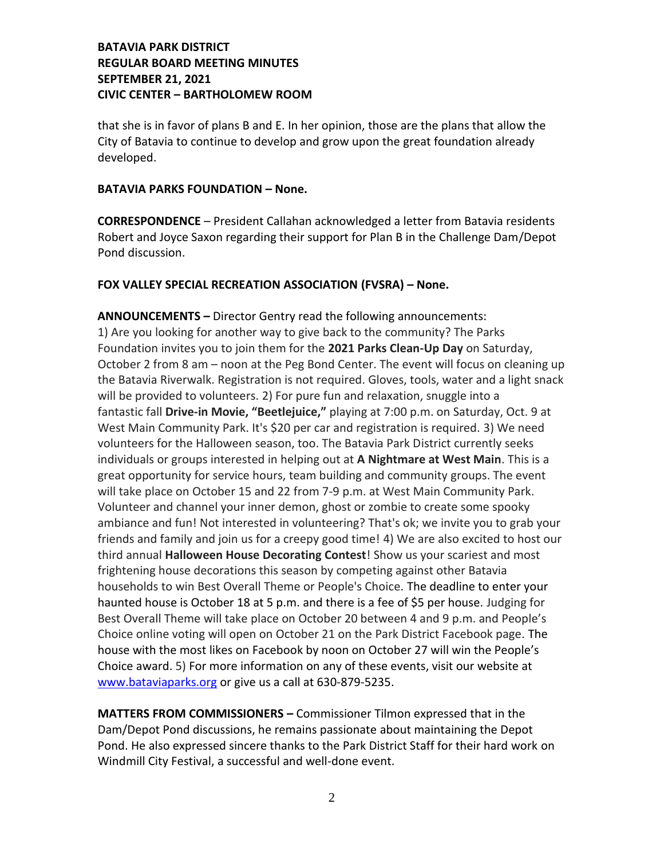that she is in favor of plans B and E. In her opinion, those are the plans that allow the City of Batavia to continue to develop and grow upon the great foundation already developed.

#### **BATAVIA PARKS FOUNDATION – None.**

**CORRESPONDENCE** – President Callahan acknowledged a letter from Batavia residents Robert and Joyce Saxon regarding their support for Plan B in the Challenge Dam/Depot Pond discussion.

### **FOX VALLEY SPECIAL RECREATION ASSOCIATION (FVSRA) – None.**

**ANNOUNCEMENTS –** Director Gentry read the following announcements: 1) Are you looking for another way to give back to the community? The Parks Foundation invites you to join them for the **2021 Parks Clean-Up Day** on Saturday, October 2 from 8 am – noon at the Peg Bond Center. The event will focus on cleaning up the Batavia Riverwalk. Registration is not required. Gloves, tools, water and a light snack will be provided to volunteers. 2) For pure fun and relaxation, snuggle into a fantastic fall **Drive-in Movie, "Beetlejuice,"** playing at 7:00 p.m. on Saturday, Oct. 9 at West Main Community Park. It's \$20 per car and registration is required. 3) We need volunteers for the Halloween season, too. The Batavia Park District currently seeks individuals or groups interested in helping out at **A Nightmare at West Main**. This is a great opportunity for service hours, team building and community groups. The event will take place on October 15 and 22 from 7-9 p.m. at West Main Community Park. Volunteer and channel your inner demon, ghost or zombie to create some spooky ambiance and fun! Not interested in volunteering? That's ok; we invite you to grab your friends and family and join us for a creepy good time! 4) We are also excited to host our third annual **Halloween House Decorating Contest**! Show us your scariest and most frightening house decorations this season by competing against other Batavia households to win Best Overall Theme or People's Choice. The deadline to enter your haunted house is October 18 at 5 p.m. and there is a fee of \$5 per house. Judging for Best Overall Theme will take place on October 20 between 4 and 9 p.m. and People's Choice online voting will open on October 21 on the Park District Facebook page. The house with the most likes on Facebook by noon on October 27 will win the People's Choice award. 5) For more information on any of these events, visit our website at www.bataviaparks.org or give us a call at 630-879-5235.

**MATTERS FROM COMMISSIONERS –** Commissioner Tilmon expressed that in the Dam/Depot Pond discussions, he remains passionate about maintaining the Depot Pond. He also expressed sincere thanks to the Park District Staff for their hard work on Windmill City Festival, a successful and well-done event.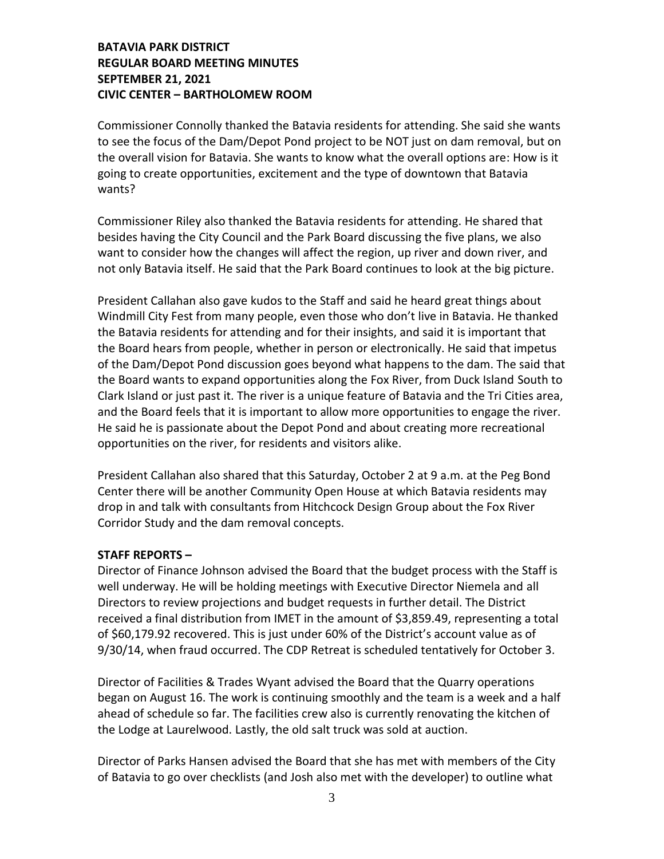Commissioner Connolly thanked the Batavia residents for attending. She said she wants to see the focus of the Dam/Depot Pond project to be NOT just on dam removal, but on the overall vision for Batavia. She wants to know what the overall options are: How is it going to create opportunities, excitement and the type of downtown that Batavia wants?

Commissioner Riley also thanked the Batavia residents for attending. He shared that besides having the City Council and the Park Board discussing the five plans, we also want to consider how the changes will affect the region, up river and down river, and not only Batavia itself. He said that the Park Board continues to look at the big picture.

President Callahan also gave kudos to the Staff and said he heard great things about Windmill City Fest from many people, even those who don't live in Batavia. He thanked the Batavia residents for attending and for their insights, and said it is important that the Board hears from people, whether in person or electronically. He said that impetus of the Dam/Depot Pond discussion goes beyond what happens to the dam. The said that the Board wants to expand opportunities along the Fox River, from Duck Island South to Clark Island or just past it. The river is a unique feature of Batavia and the Tri Cities area, and the Board feels that it is important to allow more opportunities to engage the river. He said he is passionate about the Depot Pond and about creating more recreational opportunities on the river, for residents and visitors alike.

President Callahan also shared that this Saturday, October 2 at 9 a.m. at the Peg Bond Center there will be another Community Open House at which Batavia residents may drop in and talk with consultants from Hitchcock Design Group about the Fox River Corridor Study and the dam removal concepts.

### **STAFF REPORTS –**

Director of Finance Johnson advised the Board that the budget process with the Staff is well underway. He will be holding meetings with Executive Director Niemela and all Directors to review projections and budget requests in further detail. The District received a final distribution from IMET in the amount of \$3,859.49, representing a total of \$60,179.92 recovered. This is just under 60% of the District's account value as of 9/30/14, when fraud occurred. The CDP Retreat is scheduled tentatively for October 3.

Director of Facilities & Trades Wyant advised the Board that the Quarry operations began on August 16. The work is continuing smoothly and the team is a week and a half ahead of schedule so far. The facilities crew also is currently renovating the kitchen of the Lodge at Laurelwood. Lastly, the old salt truck was sold at auction.

Director of Parks Hansen advised the Board that she has met with members of the City of Batavia to go over checklists (and Josh also met with the developer) to outline what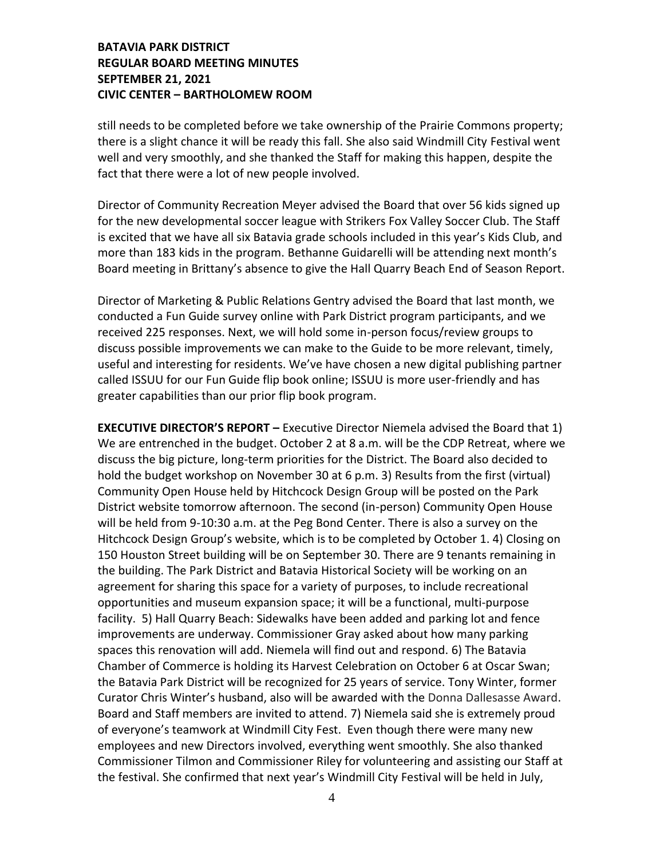still needs to be completed before we take ownership of the Prairie Commons property; there is a slight chance it will be ready this fall. She also said Windmill City Festival went well and very smoothly, and she thanked the Staff for making this happen, despite the fact that there were a lot of new people involved.

Director of Community Recreation Meyer advised the Board that over 56 kids signed up for the new developmental soccer league with Strikers Fox Valley Soccer Club. The Staff is excited that we have all six Batavia grade schools included in this year's Kids Club, and more than 183 kids in the program. Bethanne Guidarelli will be attending next month's Board meeting in Brittany's absence to give the Hall Quarry Beach End of Season Report.

Director of Marketing & Public Relations Gentry advised the Board that last month, we conducted a Fun Guide survey online with Park District program participants, and we received 225 responses. Next, we will hold some in-person focus/review groups to discuss possible improvements we can make to the Guide to be more relevant, timely, useful and interesting for residents. We've have chosen a new digital publishing partner called ISSUU for our Fun Guide flip book online; ISSUU is more user-friendly and has greater capabilities than our prior flip book program.

**EXECUTIVE DIRECTOR'S REPORT –** Executive Director Niemela advised the Board that 1) We are entrenched in the budget. October 2 at 8 a.m. will be the CDP Retreat, where we discuss the big picture, long-term priorities for the District. The Board also decided to hold the budget workshop on November 30 at 6 p.m. 3) Results from the first (virtual) Community Open House held by Hitchcock Design Group will be posted on the Park District website tomorrow afternoon. The second (in-person) Community Open House will be held from 9-10:30 a.m. at the Peg Bond Center. There is also a survey on the Hitchcock Design Group's website, which is to be completed by October 1. 4) Closing on 150 Houston Street building will be on September 30. There are 9 tenants remaining in the building. The Park District and Batavia Historical Society will be working on an agreement for sharing this space for a variety of purposes, to include recreational opportunities and museum expansion space; it will be a functional, multi-purpose facility. 5) Hall Quarry Beach: Sidewalks have been added and parking lot and fence improvements are underway. Commissioner Gray asked about how many parking spaces this renovation will add. Niemela will find out and respond. 6) The Batavia Chamber of Commerce is holding its Harvest Celebration on October 6 at Oscar Swan; the Batavia Park District will be recognized for 25 years of service. Tony Winter, former Curator Chris Winter's husband, also will be awarded with the Donna Dallesasse Award. Board and Staff members are invited to attend. 7) Niemela said she is extremely proud of everyone's teamwork at Windmill City Fest. Even though there were many new employees and new Directors involved, everything went smoothly. She also thanked Commissioner Tilmon and Commissioner Riley for volunteering and assisting our Staff at the festival. She confirmed that next year's Windmill City Festival will be held in July,